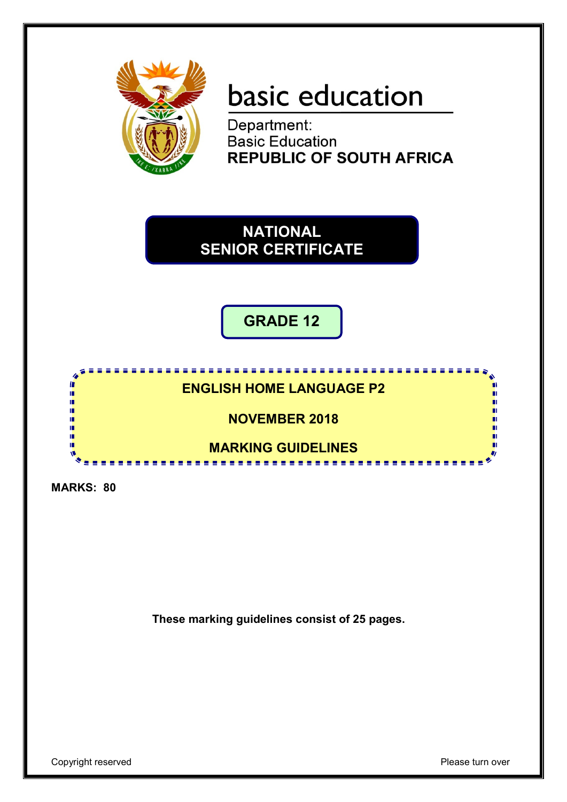

# basic education

Department: **Basic Education REPUBLIC OF SOUTH AFRICA** 

**NATIONAL SENIOR CERTIFICATE**

**GRADE 12**

### <u> . . . . . . . . . . . .</u> **ENGLISH HOME LANGUAGE P2**

**NOVEMBER 2018**

#### **MARKING GUIDELINES**

**MARKS: 80**

m ш ú, п тĎ í. ш ш

**These marking guidelines consist of 25 pages.**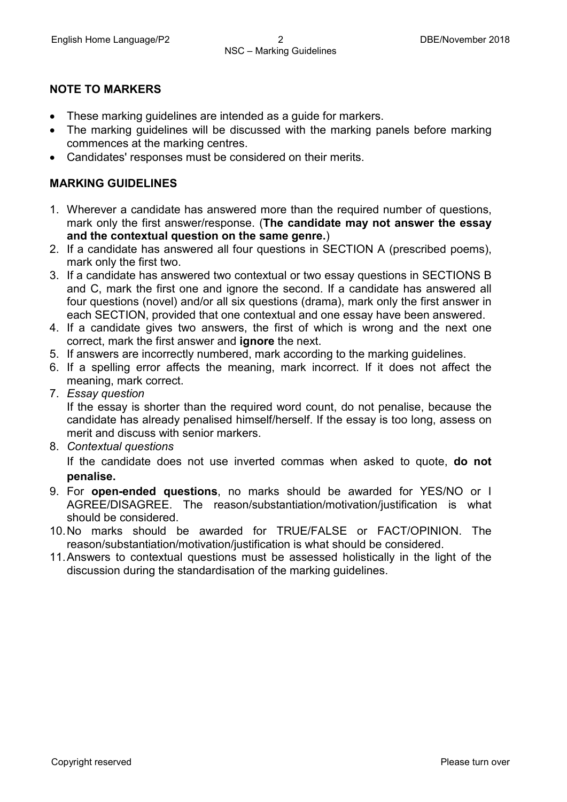#### **NOTE TO MARKERS**

- These marking guidelines are intended as a guide for markers.
- The marking guidelines will be discussed with the marking panels before marking commences at the marking centres.
- Candidates' responses must be considered on their merits.

#### **MARKING GUIDELINES**

- 1. Wherever a candidate has answered more than the required number of questions, mark only the first answer/response. (**The candidate may not answer the essay and the contextual question on the same genre.**)
- 2. If a candidate has answered all four questions in SECTION A (prescribed poems), mark only the first two.
- 3. If a candidate has answered two contextual or two essay questions in SECTIONS B and C, mark the first one and ignore the second. If a candidate has answered all four questions (novel) and/or all six questions (drama), mark only the first answer in each SECTION, provided that one contextual and one essay have been answered.
- 4. If a candidate gives two answers, the first of which is wrong and the next one correct, mark the first answer and **ignore** the next.
- 5. If answers are incorrectly numbered, mark according to the marking guidelines.
- 6. If a spelling error affects the meaning, mark incorrect. If it does not affect the meaning, mark correct.
- 7. *Essay question*

If the essay is shorter than the required word count, do not penalise, because the candidate has already penalised himself/herself. If the essay is too long, assess on merit and discuss with senior markers.

8. *Contextual questions*

If the candidate does not use inverted commas when asked to quote, **do not penalise.**

- 9. For **open-ended questions**, no marks should be awarded for YES/NO or I AGREE/DISAGREE. The reason/substantiation/motivation/justification is what should be considered.
- 10.No marks should be awarded for TRUE/FALSE or FACT/OPINION. The reason/substantiation/motivation/justification is what should be considered.
- 11.Answers to contextual questions must be assessed holistically in the light of the discussion during the standardisation of the marking guidelines.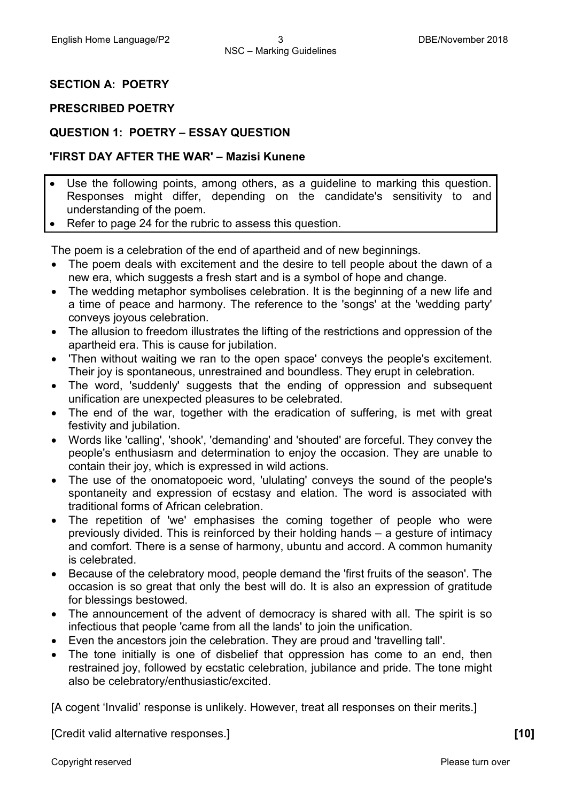#### **SECTION A: POETRY**

#### **PRESCRIBED POETRY**

#### **QUESTION 1: POETRY – ESSAY QUESTION**

#### **'FIRST DAY AFTER THE WAR' – Mazisi Kunene**

- Use the following points, among others, as a guideline to marking this question. Responses might differ, depending on the candidate's sensitivity to and understanding of the poem.
- Refer to page 24 for the rubric to assess this question.

The poem is a celebration of the end of apartheid and of new beginnings.

- The poem deals with excitement and the desire to tell people about the dawn of a new era, which suggests a fresh start and is a symbol of hope and change.
- The wedding metaphor symbolises celebration. It is the beginning of a new life and a time of peace and harmony. The reference to the 'songs' at the 'wedding party' conveys joyous celebration.
- The allusion to freedom illustrates the lifting of the restrictions and oppression of the apartheid era. This is cause for jubilation.
- 'Then without waiting we ran to the open space' conveys the people's excitement. Their joy is spontaneous, unrestrained and boundless. They erupt in celebration.
- The word, 'suddenly' suggests that the ending of oppression and subsequent unification are unexpected pleasures to be celebrated.
- The end of the war, together with the eradication of suffering, is met with great festivity and jubilation.
- Words like 'calling', 'shook', 'demanding' and 'shouted' are forceful. They convey the people's enthusiasm and determination to enjoy the occasion. They are unable to contain their joy, which is expressed in wild actions.
- The use of the onomatopoeic word, 'ululating' conveys the sound of the people's spontaneity and expression of ecstasy and elation. The word is associated with traditional forms of African celebration.
- The repetition of 'we' emphasises the coming together of people who were previously divided. This is reinforced by their holding hands – a gesture of intimacy and comfort. There is a sense of harmony, ubuntu and accord. A common humanity is celebrated.
- Because of the celebratory mood, people demand the 'first fruits of the season'. The occasion is so great that only the best will do. It is also an expression of gratitude for blessings bestowed.
- The announcement of the advent of democracy is shared with all. The spirit is so infectious that people 'came from all the lands' to join the unification.
- Even the ancestors join the celebration. They are proud and 'travelling tall'.
- The tone initially is one of disbelief that oppression has come to an end, then restrained joy, followed by ecstatic celebration, jubilance and pride. The tone might also be celebratory/enthusiastic/excited.

[A cogent 'Invalid' response is unlikely. However, treat all responses on their merits.]

[Credit valid alternative responses.] **[10]**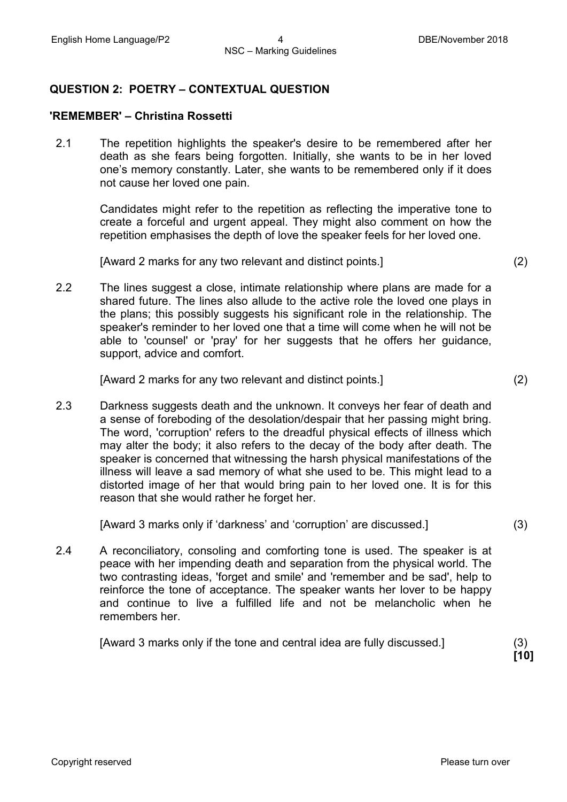#### **QUESTION 2: POETRY – CONTEXTUAL QUESTION**

#### **'REMEMBER' – Christina Rossetti**

2.1 The repetition highlights the speaker's desire to be remembered after her death as she fears being forgotten. Initially, she wants to be in her loved one's memory constantly. Later, she wants to be remembered only if it does not cause her loved one pain.

> Candidates might refer to the repetition as reflecting the imperative tone to create a forceful and urgent appeal. They might also comment on how the repetition emphasises the depth of love the speaker feels for her loved one.

[Award 2 marks for any two relevant and distinct points.] (2)

2.2 The lines suggest a close, intimate relationship where plans are made for a shared future. The lines also allude to the active role the loved one plays in the plans; this possibly suggests his significant role in the relationship. The speaker's reminder to her loved one that a time will come when he will not be able to 'counsel' or 'pray' for her suggests that he offers her guidance, support, advice and comfort.

[Award 2 marks for any two relevant and distinct points.] (2)

2.3 Darkness suggests death and the unknown. It conveys her fear of death and a sense of foreboding of the desolation/despair that her passing might bring. The word, 'corruption' refers to the dreadful physical effects of illness which may alter the body; it also refers to the decay of the body after death. The speaker is concerned that witnessing the harsh physical manifestations of the illness will leave a sad memory of what she used to be. This might lead to a distorted image of her that would bring pain to her loved one. It is for this reason that she would rather he forget her.

[Award 3 marks only if 'darkness' and 'corruption' are discussed.] (3)

2.4 A reconciliatory, consoling and comforting tone is used. The speaker is at peace with her impending death and separation from the physical world. The two contrasting ideas, 'forget and smile' and 'remember and be sad', help to reinforce the tone of acceptance. The speaker wants her lover to be happy and continue to live a fulfilled life and not be melancholic when he remembers her.

[Award 3 marks only if the tone and central idea are fully discussed.] (3)

**[10]**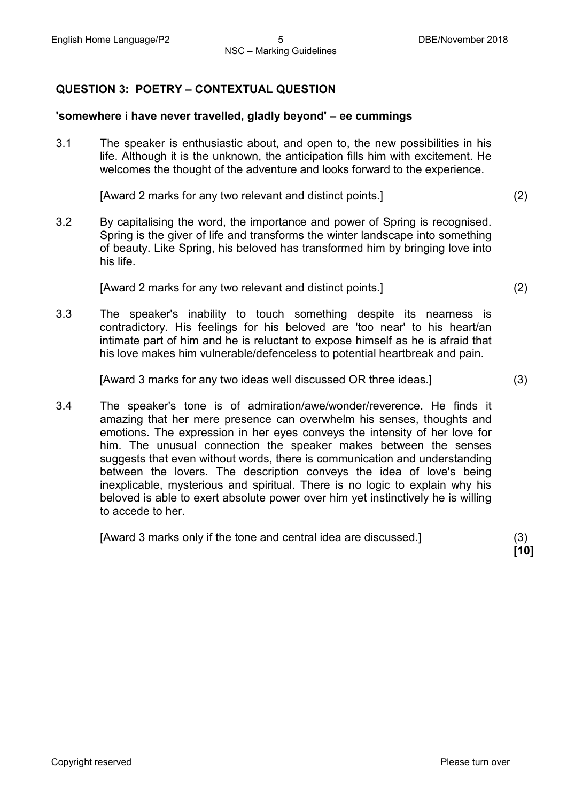#### **QUESTION 3: POETRY – CONTEXTUAL QUESTION**

#### **'somewhere i have never travelled, gladly beyond' – ee cummings**

3.1 The speaker is enthusiastic about, and open to, the new possibilities in his life. Although it is the unknown, the anticipation fills him with excitement. He welcomes the thought of the adventure and looks forward to the experience.

[Award 2 marks for any two relevant and distinct points.] (2)

3.2 By capitalising the word, the importance and power of Spring is recognised. Spring is the giver of life and transforms the winter landscape into something of beauty. Like Spring, his beloved has transformed him by bringing love into his life.

[Award 2 marks for any two relevant and distinct points.] (2)

3.3 The speaker's inability to touch something despite its nearness is contradictory. His feelings for his beloved are 'too near' to his heart/an intimate part of him and he is reluctant to expose himself as he is afraid that his love makes him vulnerable/defenceless to potential heartbreak and pain.

[Award 3 marks for any two ideas well discussed OR three ideas.] (3)

3.4 The speaker's tone is of admiration/awe/wonder/reverence. He finds it amazing that her mere presence can overwhelm his senses, thoughts and emotions. The expression in her eyes conveys the intensity of her love for him. The unusual connection the speaker makes between the senses suggests that even without words, there is communication and understanding between the lovers. The description conveys the idea of love's being inexplicable, mysterious and spiritual. There is no logic to explain why his beloved is able to exert absolute power over him yet instinctively he is willing to accede to her.

[Award 3 marks only if the tone and central idea are discussed.] (3)

**[10]**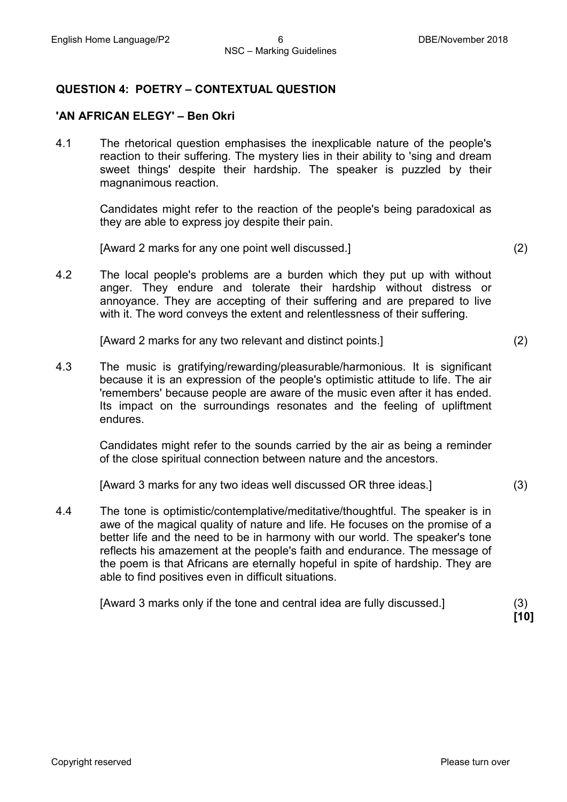#### **QUESTION 4: POETRY – CONTEXTUAL QUESTION**

#### **'AN AFRICAN ELEGY' – Ben Okri**

4.1 The rhetorical question emphasises the inexplicable nature of the people's reaction to their suffering. The mystery lies in their ability to 'sing and dream sweet things' despite their hardship. The speaker is puzzled by their magnanimous reaction.

Candidates might refer to the reaction of the people's being paradoxical as they are able to express joy despite their pain.

[Award 2 marks for any one point well discussed.] (2)

4.2 The local people's problems are a burden which they put up with without anger. They endure and tolerate their hardship without distress or annoyance. They are accepting of their suffering and are prepared to live with it. The word conveys the extent and relentlessness of their suffering.

[Award 2 marks for any two relevant and distinct points.] (2)

4.3 The music is gratifying/rewarding/pleasurable/harmonious. It is significant because it is an expression of the people's optimistic attitude to life. The air 'remembers' because people are aware of the music even after it has ended. Its impact on the surroundings resonates and the feeling of upliftment endures.

Candidates might refer to the sounds carried by the air as being a reminder of the close spiritual connection between nature and the ancestors.

[Award 3 marks for any two ideas well discussed OR three ideas.] (3)

4.4 The tone is optimistic/contemplative/meditative/thoughtful. The speaker is in awe of the magical quality of nature and life. He focuses on the promise of a better life and the need to be in harmony with our world. The speaker's tone reflects his amazement at the people's faith and endurance. The message of the poem is that Africans are eternally hopeful in spite of hardship. They are able to find positives even in difficult situations.

| [Award 3 marks only if the tone and central idea are fully discussed.] |  |
|------------------------------------------------------------------------|--|
|------------------------------------------------------------------------|--|

**[10]**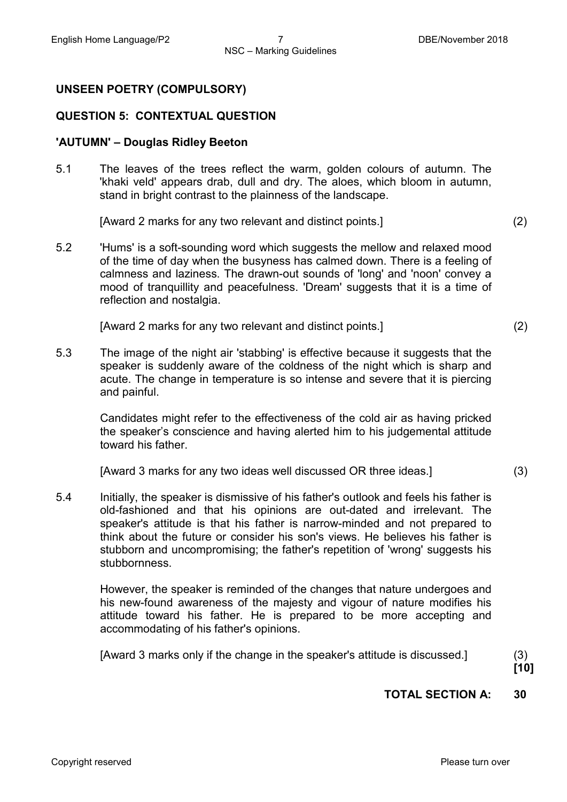#### **UNSEEN POETRY (COMPULSORY)**

#### **QUESTION 5: CONTEXTUAL QUESTION**

#### **'AUTUMN' – Douglas Ridley Beeton**

5.1 The leaves of the trees reflect the warm, golden colours of autumn. The 'khaki veld' appears drab, dull and dry. The aloes, which bloom in autumn, stand in bright contrast to the plainness of the landscape.

[Award 2 marks for any two relevant and distinct points.] (2)

5.2 'Hums' is a soft-sounding word which suggests the mellow and relaxed mood of the time of day when the busyness has calmed down. There is a feeling of calmness and laziness. The drawn-out sounds of 'long' and 'noon' convey a mood of tranquillity and peacefulness. 'Dream' suggests that it is a time of reflection and nostalgia.

[Award 2 marks for any two relevant and distinct points.] (2)

5.3 The image of the night air 'stabbing' is effective because it suggests that the speaker is suddenly aware of the coldness of the night which is sharp and acute. The change in temperature is so intense and severe that it is piercing and painful.

> Candidates might refer to the effectiveness of the cold air as having pricked the speaker's conscience and having alerted him to his judgemental attitude toward his father.

[Award 3 marks for any two ideas well discussed OR three ideas.] (3)

5.4 Initially, the speaker is dismissive of his father's outlook and feels his father is old-fashioned and that his opinions are out-dated and irrelevant. The speaker's attitude is that his father is narrow-minded and not prepared to think about the future or consider his son's views. He believes his father is stubborn and uncompromising; the father's repetition of 'wrong' suggests his stubbornness.

> However, the speaker is reminded of the changes that nature undergoes and his new-found awareness of the majesty and vigour of nature modifies his attitude toward his father. He is prepared to be more accepting and accommodating of his father's opinions.

[Award 3 marks only if the change in the speaker's attitude is discussed.] (3)

**[10]**

#### **TOTAL SECTION A: 30**

Copyright reserved **Please turn over the Copyright reserved** Please turn over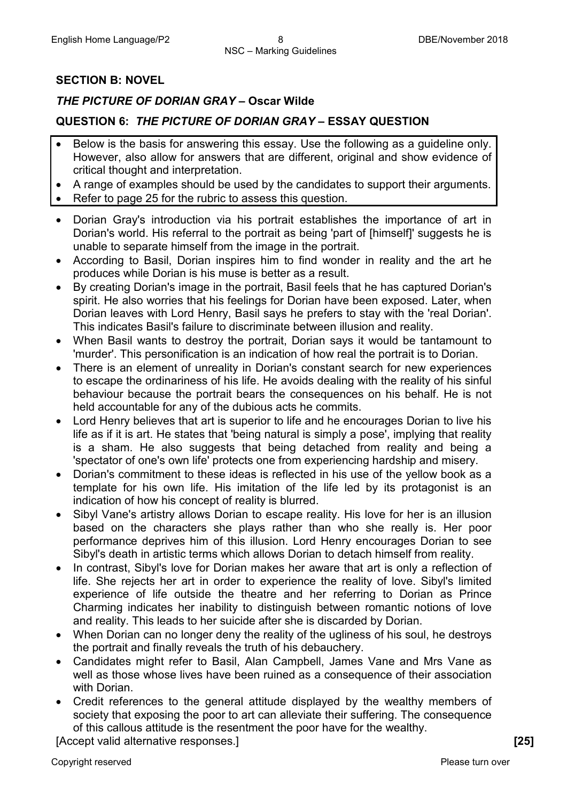#### **SECTION B: NOVEL**

#### *THE PICTURE OF DORIAN GRAY* **– Oscar Wilde**

#### **QUESTION 6:** *THE PICTURE OF DORIAN GRAY* **– ESSAY QUESTION**

- Below is the basis for answering this essay. Use the following as a guideline only. However, also allow for answers that are different, original and show evidence of critical thought and interpretation.
- A range of examples should be used by the candidates to support their arguments. • Refer to page 25 for the rubric to assess this question.
- Dorian Gray's introduction via his portrait establishes the importance of art in Dorian's world. His referral to the portrait as being 'part of [himself]' suggests he is unable to separate himself from the image in the portrait.
- According to Basil, Dorian inspires him to find wonder in reality and the art he produces while Dorian is his muse is better as a result.
- By creating Dorian's image in the portrait, Basil feels that he has captured Dorian's spirit. He also worries that his feelings for Dorian have been exposed. Later, when Dorian leaves with Lord Henry, Basil says he prefers to stay with the 'real Dorian'. This indicates Basil's failure to discriminate between illusion and reality.
- When Basil wants to destroy the portrait, Dorian says it would be tantamount to 'murder'. This personification is an indication of how real the portrait is to Dorian.
- There is an element of unreality in Dorian's constant search for new experiences to escape the ordinariness of his life. He avoids dealing with the reality of his sinful behaviour because the portrait bears the consequences on his behalf. He is not held accountable for any of the dubious acts he commits.
- Lord Henry believes that art is superior to life and he encourages Dorian to live his life as if it is art. He states that 'being natural is simply a pose', implying that reality is a sham. He also suggests that being detached from reality and being a 'spectator of one's own life' protects one from experiencing hardship and misery.
- Dorian's commitment to these ideas is reflected in his use of the yellow book as a template for his own life. His imitation of the life led by its protagonist is an indication of how his concept of reality is blurred.
- Sibyl Vane's artistry allows Dorian to escape reality. His love for her is an illusion based on the characters she plays rather than who she really is. Her poor performance deprives him of this illusion. Lord Henry encourages Dorian to see Sibyl's death in artistic terms which allows Dorian to detach himself from reality.
- In contrast, Sibyl's love for Dorian makes her aware that art is only a reflection of life. She rejects her art in order to experience the reality of love. Sibyl's limited experience of life outside the theatre and her referring to Dorian as Prince Charming indicates her inability to distinguish between romantic notions of love and reality. This leads to her suicide after she is discarded by Dorian.
- When Dorian can no longer deny the reality of the ugliness of his soul, he destroys the portrait and finally reveals the truth of his debauchery.
- Candidates might refer to Basil, Alan Campbell, James Vane and Mrs Vane as well as those whose lives have been ruined as a consequence of their association with Dorian.
- Credit references to the general attitude displayed by the wealthy members of society that exposing the poor to art can alleviate their suffering. The consequence of this callous attitude is the resentment the poor have for the wealthy.

[Accept valid alternative responses.] **[25]**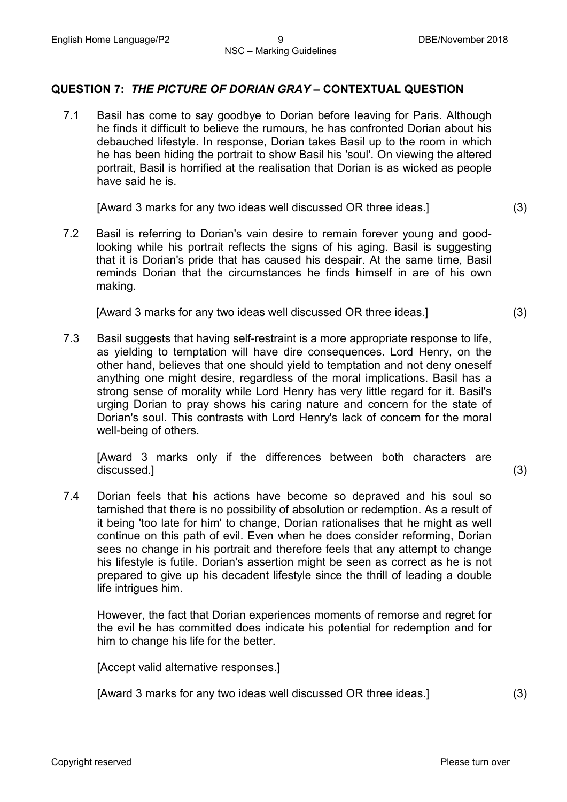#### **QUESTION 7:** *THE PICTURE OF DORIAN GRAY* **– CONTEXTUAL QUESTION**

7.1 Basil has come to say goodbye to Dorian before leaving for Paris. Although he finds it difficult to believe the rumours, he has confronted Dorian about his debauched lifestyle. In response, Dorian takes Basil up to the room in which he has been hiding the portrait to show Basil his 'soul'. On viewing the altered portrait, Basil is horrified at the realisation that Dorian is as wicked as people have said he is.

[Award 3 marks for any two ideas well discussed OR three ideas.] (3)

7.2 Basil is referring to Dorian's vain desire to remain forever young and goodlooking while his portrait reflects the signs of his aging. Basil is suggesting that it is Dorian's pride that has caused his despair. At the same time, Basil reminds Dorian that the circumstances he finds himself in are of his own making.

[Award 3 marks for any two ideas well discussed OR three ideas.] (3)

7.3 Basil suggests that having self-restraint is a more appropriate response to life, as yielding to temptation will have dire consequences. Lord Henry, on the other hand, believes that one should yield to temptation and not deny oneself anything one might desire, regardless of the moral implications. Basil has a strong sense of morality while Lord Henry has very little regard for it. Basil's urging Dorian to pray shows his caring nature and concern for the state of Dorian's soul. This contrasts with Lord Henry's lack of concern for the moral well-being of others.

[Award 3 marks only if the differences between both characters are discussed.] (3)

7.4 Dorian feels that his actions have become so depraved and his soul so tarnished that there is no possibility of absolution or redemption. As a result of it being 'too late for him' to change, Dorian rationalises that he might as well continue on this path of evil. Even when he does consider reforming, Dorian sees no change in his portrait and therefore feels that any attempt to change his lifestyle is futile. Dorian's assertion might be seen as correct as he is not prepared to give up his decadent lifestyle since the thrill of leading a double life intrigues him.

However, the fact that Dorian experiences moments of remorse and regret for the evil he has committed does indicate his potential for redemption and for him to change his life for the better.

[Accept valid alternative responses.]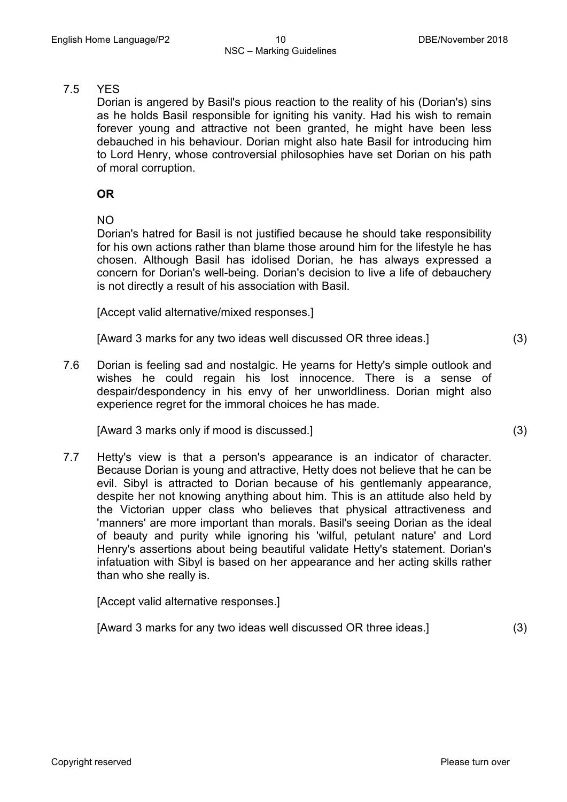#### 7.5 YES

Dorian is angered by Basil's pious reaction to the reality of his (Dorian's) sins as he holds Basil responsible for igniting his vanity. Had his wish to remain forever young and attractive not been granted, he might have been less debauched in his behaviour. Dorian might also hate Basil for introducing him to Lord Henry, whose controversial philosophies have set Dorian on his path of moral corruption.

#### **OR**

NO

Dorian's hatred for Basil is not justified because he should take responsibility for his own actions rather than blame those around him for the lifestyle he has chosen. Although Basil has idolised Dorian, he has always expressed a concern for Dorian's well-being. Dorian's decision to live a life of debauchery is not directly a result of his association with Basil.

[Accept valid alternative/mixed responses.]

[Award 3 marks for any two ideas well discussed OR three ideas.] (3)

7.6 Dorian is feeling sad and nostalgic. He yearns for Hetty's simple outlook and wishes he could regain his lost innocence. There is a sense of despair/despondency in his envy of her unworldliness. Dorian might also experience regret for the immoral choices he has made.

[Award 3 marks only if mood is discussed.] (3)

7.7 Hetty's view is that a person's appearance is an indicator of character. Because Dorian is young and attractive, Hetty does not believe that he can be evil. Sibyl is attracted to Dorian because of his gentlemanly appearance, despite her not knowing anything about him. This is an attitude also held by the Victorian upper class who believes that physical attractiveness and 'manners' are more important than morals. Basil's seeing Dorian as the ideal of beauty and purity while ignoring his 'wilful, petulant nature' and Lord Henry's assertions about being beautiful validate Hetty's statement. Dorian's infatuation with Sibyl is based on her appearance and her acting skills rather than who she really is.

[Accept valid alternative responses.]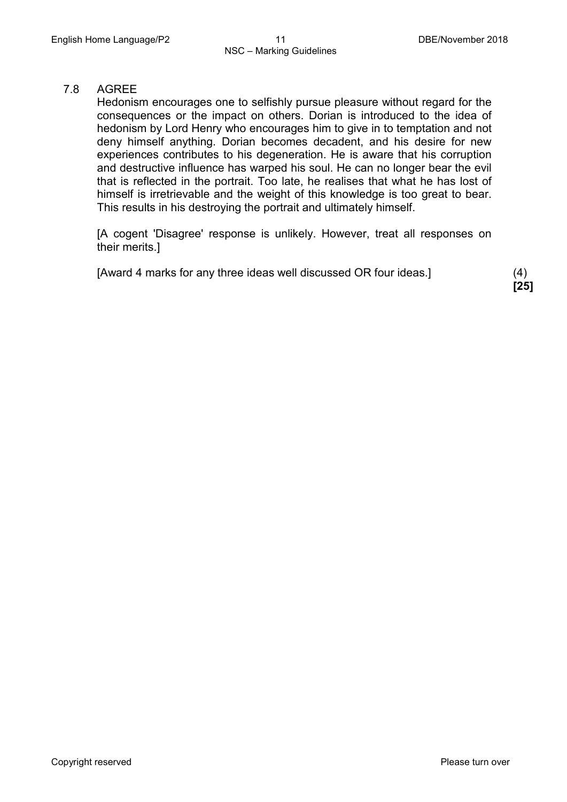#### 7.8 AGREE

Hedonism encourages one to selfishly pursue pleasure without regard for the consequences or the impact on others. Dorian is introduced to the idea of hedonism by Lord Henry who encourages him to give in to temptation and not deny himself anything. Dorian becomes decadent, and his desire for new experiences contributes to his degeneration. He is aware that his corruption and destructive influence has warped his soul. He can no longer bear the evil that is reflected in the portrait. Too late, he realises that what he has lost of himself is irretrievable and the weight of this knowledge is too great to bear. This results in his destroying the portrait and ultimately himself.

[A cogent 'Disagree' response is unlikely. However, treat all responses on their merits.]

[Award 4 marks for any three ideas well discussed OR four ideas.] (4)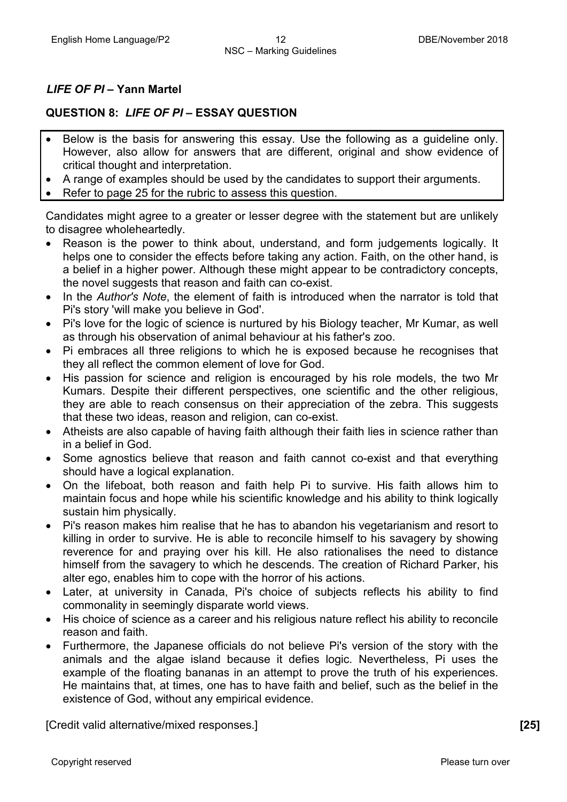#### *LIFE OF PI* **– Yann Martel**

#### **QUESTION 8:** *LIFE OF PI* **– ESSAY QUESTION**

- Below is the basis for answering this essay. Use the following as a guideline only. However, also allow for answers that are different, original and show evidence of critical thought and interpretation.
- A range of examples should be used by the candidates to support their arguments.
- Refer to page 25 for the rubric to assess this question.

Candidates might agree to a greater or lesser degree with the statement but are unlikely to disagree wholeheartedly.

- Reason is the power to think about, understand, and form judgements logically. It helps one to consider the effects before taking any action. Faith, on the other hand, is a belief in a higher power. Although these might appear to be contradictory concepts, the novel suggests that reason and faith can co-exist.
- In the *Author's Note*, the element of faith is introduced when the narrator is told that Pi's story 'will make you believe in God'.
- Pi's love for the logic of science is nurtured by his Biology teacher, Mr Kumar, as well as through his observation of animal behaviour at his father's zoo.
- Pi embraces all three religions to which he is exposed because he recognises that they all reflect the common element of love for God.
- His passion for science and religion is encouraged by his role models, the two Mr Kumars. Despite their different perspectives, one scientific and the other religious, they are able to reach consensus on their appreciation of the zebra. This suggests that these two ideas, reason and religion, can co-exist.
- Atheists are also capable of having faith although their faith lies in science rather than in a belief in God.
- Some agnostics believe that reason and faith cannot co-exist and that everything should have a logical explanation.
- On the lifeboat, both reason and faith help Pi to survive. His faith allows him to maintain focus and hope while his scientific knowledge and his ability to think logically sustain him physically.
- Pi's reason makes him realise that he has to abandon his vegetarianism and resort to killing in order to survive. He is able to reconcile himself to his savagery by showing reverence for and praying over his kill. He also rationalises the need to distance himself from the savagery to which he descends. The creation of Richard Parker, his alter ego, enables him to cope with the horror of his actions.
- Later, at university in Canada, Pi's choice of subjects reflects his ability to find commonality in seemingly disparate world views.
- His choice of science as a career and his religious nature reflect his ability to reconcile reason and faith.
- Furthermore, the Japanese officials do not believe Pi's version of the story with the animals and the algae island because it defies logic. Nevertheless, Pi uses the example of the floating bananas in an attempt to prove the truth of his experiences. He maintains that, at times, one has to have faith and belief, such as the belief in the existence of God, without any empirical evidence.

[Credit valid alternative/mixed responses.] **[25]**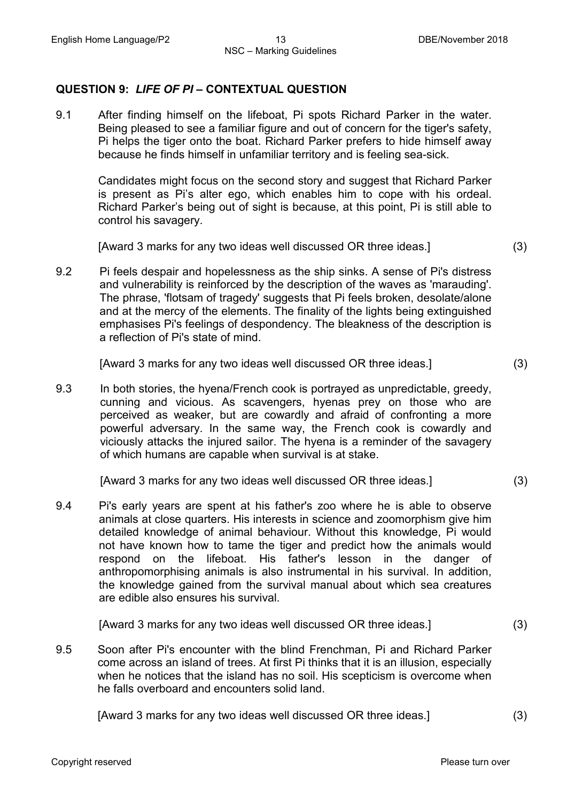#### **QUESTION 9:** *LIFE OF PI* **– CONTEXTUAL QUESTION**

9.1 After finding himself on the lifeboat, Pi spots Richard Parker in the water. Being pleased to see a familiar figure and out of concern for the tiger's safety, Pi helps the tiger onto the boat. Richard Parker prefers to hide himself away because he finds himself in unfamiliar territory and is feeling sea-sick.

Candidates might focus on the second story and suggest that Richard Parker is present as Pi's alter ego, which enables him to cope with his ordeal. Richard Parker's being out of sight is because, at this point, Pi is still able to control his savagery.

[Award 3 marks for any two ideas well discussed OR three ideas.] (3)

9.2 Pi feels despair and hopelessness as the ship sinks. A sense of Pi's distress and vulnerability is reinforced by the description of the waves as 'marauding'. The phrase, 'flotsam of tragedy' suggests that Pi feels broken, desolate/alone and at the mercy of the elements. The finality of the lights being extinguished emphasises Pi's feelings of despondency. The bleakness of the description is a reflection of Pi's state of mind.

[Award 3 marks for any two ideas well discussed OR three ideas.] (3)

9.3 In both stories, the hyena/French cook is portrayed as unpredictable, greedy, cunning and vicious. As scavengers, hyenas prey on those who are perceived as weaker, but are cowardly and afraid of confronting a more powerful adversary. In the same way, the French cook is cowardly and viciously attacks the injured sailor. The hyena is a reminder of the savagery of which humans are capable when survival is at stake.

[Award 3 marks for any two ideas well discussed OR three ideas.] (3)

9.4 Pi's early years are spent at his father's zoo where he is able to observe animals at close quarters. His interests in science and zoomorphism give him detailed knowledge of animal behaviour. Without this knowledge, Pi would not have known how to tame the tiger and predict how the animals would respond on the lifeboat. His father's lesson in the danger of anthropomorphising animals is also instrumental in his survival. In addition, the knowledge gained from the survival manual about which sea creatures are edible also ensures his survival.

[Award 3 marks for any two ideas well discussed OR three ideas.] (3)

9.5 Soon after Pi's encounter with the blind Frenchman, Pi and Richard Parker come across an island of trees. At first Pi thinks that it is an illusion, especially when he notices that the island has no soil. His scepticism is overcome when he falls overboard and encounters solid land.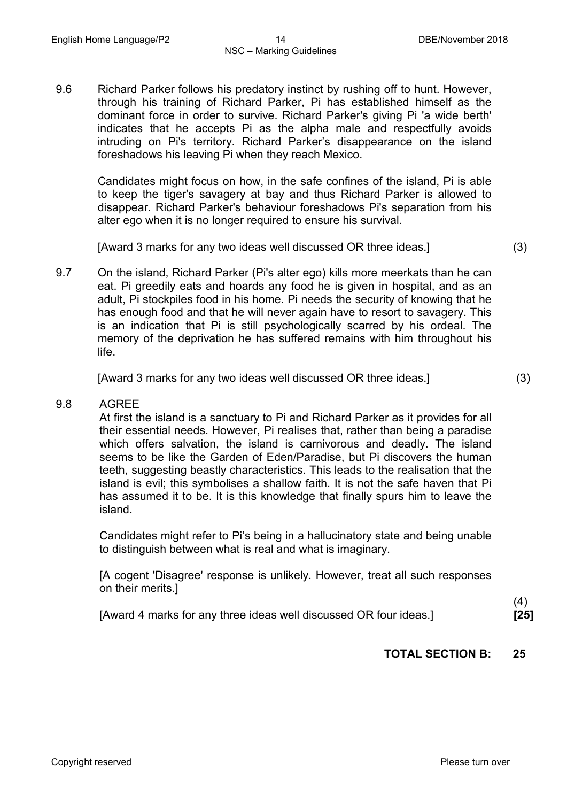9.6 Richard Parker follows his predatory instinct by rushing off to hunt. However, through his training of Richard Parker, Pi has established himself as the dominant force in order to survive. Richard Parker's giving Pi 'a wide berth' indicates that he accepts Pi as the alpha male and respectfully avoids intruding on Pi's territory. Richard Parker's disappearance on the island foreshadows his leaving Pi when they reach Mexico.

Candidates might focus on how, in the safe confines of the island, Pi is able to keep the tiger's savagery at bay and thus Richard Parker is allowed to disappear. Richard Parker's behaviour foreshadows Pi's separation from his alter ego when it is no longer required to ensure his survival.

[Award 3 marks for any two ideas well discussed OR three ideas.] (3)

9.7 On the island, Richard Parker (Pi's alter ego) kills more meerkats than he can eat. Pi greedily eats and hoards any food he is given in hospital, and as an adult, Pi stockpiles food in his home. Pi needs the security of knowing that he has enough food and that he will never again have to resort to savagery. This is an indication that Pi is still psychologically scarred by his ordeal. The memory of the deprivation he has suffered remains with him throughout his life.

[Award 3 marks for any two ideas well discussed OR three ideas.] (3)

#### 9.8 AGREE

At first the island is a sanctuary to Pi and Richard Parker as it provides for all their essential needs. However, Pi realises that, rather than being a paradise which offers salvation, the island is carnivorous and deadly. The island seems to be like the Garden of Eden/Paradise, but Pi discovers the human teeth, suggesting beastly characteristics. This leads to the realisation that the island is evil; this symbolises a shallow faith. It is not the safe haven that Pi has assumed it to be. It is this knowledge that finally spurs him to leave the island.

Candidates might refer to Pi's being in a hallucinatory state and being unable to distinguish between what is real and what is imaginary.

[A cogent 'Disagree' response is unlikely. However, treat all such responses on their merits.]

[Award 4 marks for any three ideas well discussed OR four ideas.]

(4) **[25]**

#### **TOTAL SECTION B: 25**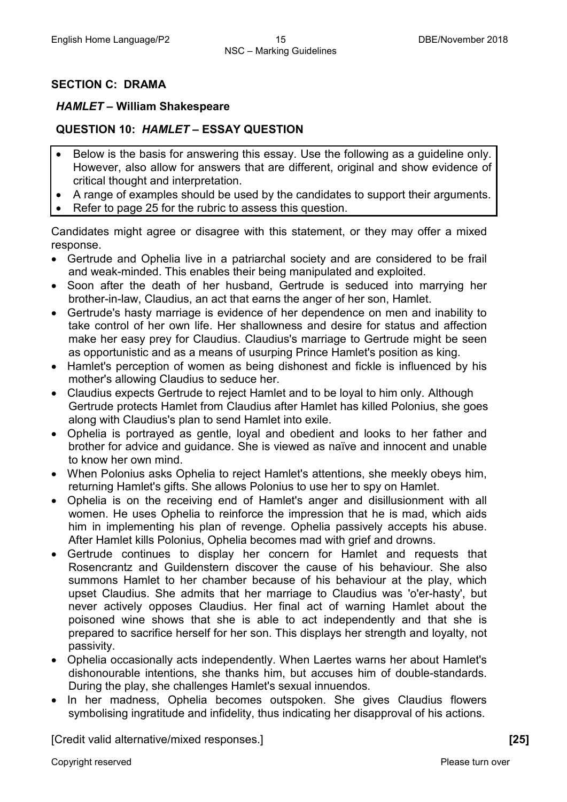#### **SECTION C: DRAMA**

#### *HAMLET* **– William Shakespeare**

#### **QUESTION 10:** *HAMLET* **– ESSAY QUESTION**

- Below is the basis for answering this essay. Use the following as a guideline only. However, also allow for answers that are different, original and show evidence of critical thought and interpretation.
- A range of examples should be used by the candidates to support their arguments.
- Refer to page 25 for the rubric to assess this question.

Candidates might agree or disagree with this statement, or they may offer a mixed response.

- Gertrude and Ophelia live in a patriarchal society and are considered to be frail and weak-minded. This enables their being manipulated and exploited.
- Soon after the death of her husband, Gertrude is seduced into marrying her brother-in-law, Claudius, an act that earns the anger of her son, Hamlet.
- Gertrude's hasty marriage is evidence of her dependence on men and inability to take control of her own life. Her shallowness and desire for status and affection make her easy prey for Claudius. Claudius's marriage to Gertrude might be seen as opportunistic and as a means of usurping Prince Hamlet's position as king.
- Hamlet's perception of women as being dishonest and fickle is influenced by his mother's allowing Claudius to seduce her.
- Claudius expects Gertrude to reject Hamlet and to be loyal to him only. Although Gertrude protects Hamlet from Claudius after Hamlet has killed Polonius, she goes along with Claudius's plan to send Hamlet into exile.
- Ophelia is portrayed as gentle, loyal and obedient and looks to her father and brother for advice and guidance. She is viewed as naïve and innocent and unable to know her own mind.
- When Polonius asks Ophelia to reject Hamlet's attentions, she meekly obeys him, returning Hamlet's gifts. She allows Polonius to use her to spy on Hamlet.
- Ophelia is on the receiving end of Hamlet's anger and disillusionment with all women. He uses Ophelia to reinforce the impression that he is mad, which aids him in implementing his plan of revenge. Ophelia passively accepts his abuse. After Hamlet kills Polonius, Ophelia becomes mad with grief and drowns.
- Gertrude continues to display her concern for Hamlet and requests that Rosencrantz and Guildenstern discover the cause of his behaviour. She also summons Hamlet to her chamber because of his behaviour at the play, which upset Claudius. She admits that her marriage to Claudius was 'o'er-hasty', but never actively opposes Claudius. Her final act of warning Hamlet about the poisoned wine shows that she is able to act independently and that she is prepared to sacrifice herself for her son. This displays her strength and loyalty, not passivity.
- Ophelia occasionally acts independently. When Laertes warns her about Hamlet's dishonourable intentions, she thanks him, but accuses him of double-standards. During the play, she challenges Hamlet's sexual innuendos.
- In her madness, Ophelia becomes outspoken. She gives Claudius flowers symbolising ingratitude and infidelity, thus indicating her disapproval of his actions.

[Credit valid alternative/mixed responses.] **[25]**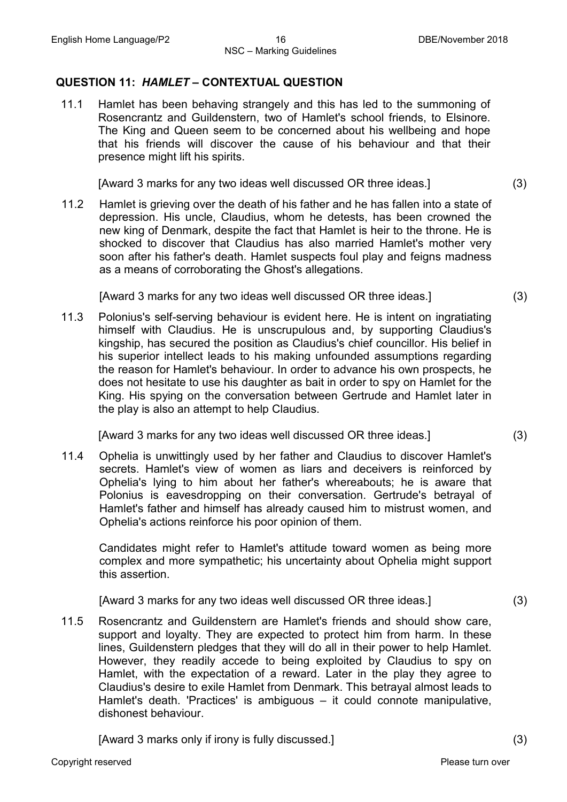#### **QUESTION 11:** *HAMLET* **– CONTEXTUAL QUESTION**

11.1 Hamlet has been behaving strangely and this has led to the summoning of Rosencrantz and Guildenstern, two of Hamlet's school friends, to Elsinore. The King and Queen seem to be concerned about his wellbeing and hope that his friends will discover the cause of his behaviour and that their presence might lift his spirits.

[Award 3 marks for any two ideas well discussed OR three ideas.] (3)

11.2 Hamlet is grieving over the death of his father and he has fallen into a state of depression. His uncle, Claudius, whom he detests, has been crowned the new king of Denmark, despite the fact that Hamlet is heir to the throne. He is shocked to discover that Claudius has also married Hamlet's mother very soon after his father's death. Hamlet suspects foul play and feigns madness as a means of corroborating the Ghost's allegations.

[Award 3 marks for any two ideas well discussed OR three ideas.] (3)

11.3 Polonius's self-serving behaviour is evident here. He is intent on ingratiating himself with Claudius. He is unscrupulous and, by supporting Claudius's kingship, has secured the position as Claudius's chief councillor. His belief in his superior intellect leads to his making unfounded assumptions regarding the reason for Hamlet's behaviour. In order to advance his own prospects, he does not hesitate to use his daughter as bait in order to spy on Hamlet for the King. His spying on the conversation between Gertrude and Hamlet later in the play is also an attempt to help Claudius.

[Award 3 marks for any two ideas well discussed OR three ideas.] (3)

11.4 Ophelia is unwittingly used by her father and Claudius to discover Hamlet's secrets. Hamlet's view of women as liars and deceivers is reinforced by Ophelia's lying to him about her father's whereabouts; he is aware that Polonius is eavesdropping on their conversation. Gertrude's betrayal of Hamlet's father and himself has already caused him to mistrust women, and Ophelia's actions reinforce his poor opinion of them.

Candidates might refer to Hamlet's attitude toward women as being more complex and more sympathetic; his uncertainty about Ophelia might support this assertion.

[Award 3 marks for any two ideas well discussed OR three ideas.] (3)

11.5 Rosencrantz and Guildenstern are Hamlet's friends and should show care, support and loyalty. They are expected to protect him from harm. In these lines, Guildenstern pledges that they will do all in their power to help Hamlet. However, they readily accede to being exploited by Claudius to spy on Hamlet, with the expectation of a reward. Later in the play they agree to Claudius's desire to exile Hamlet from Denmark. This betrayal almost leads to Hamlet's death. 'Practices' is ambiguous – it could connote manipulative, dishonest behaviour.

[Award 3 marks only if irony is fully discussed.] (3)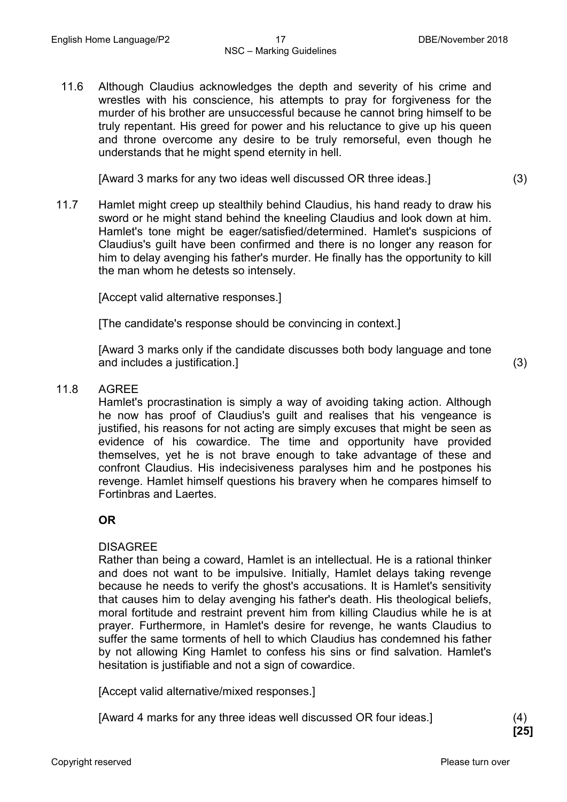11.6 Although Claudius acknowledges the depth and severity of his crime and wrestles with his conscience, his attempts to pray for forgiveness for the murder of his brother are unsuccessful because he cannot bring himself to be truly repentant. His greed for power and his reluctance to give up his queen and throne overcome any desire to be truly remorseful, even though he understands that he might spend eternity in hell.

[Award 3 marks for any two ideas well discussed OR three ideas.] (3)

11.7 Hamlet might creep up stealthily behind Claudius, his hand ready to draw his sword or he might stand behind the kneeling Claudius and look down at him. Hamlet's tone might be eager/satisfied/determined. Hamlet's suspicions of Claudius's guilt have been confirmed and there is no longer any reason for him to delay avenging his father's murder. He finally has the opportunity to kill the man whom he detests so intensely.

[Accept valid alternative responses.]

[The candidate's response should be convincing in context.]

[Award 3 marks only if the candidate discusses both body language and tone and includes a justification.] (3)

#### 11.8 AGREE

Hamlet's procrastination is simply a way of avoiding taking action. Although he now has proof of Claudius's guilt and realises that his vengeance is justified, his reasons for not acting are simply excuses that might be seen as evidence of his cowardice. The time and opportunity have provided themselves, yet he is not brave enough to take advantage of these and confront Claudius. His indecisiveness paralyses him and he postpones his revenge. Hamlet himself questions his bravery when he compares himself to Fortinbras and Laertes.

#### **OR**

#### DISAGREE

Rather than being a coward, Hamlet is an intellectual. He is a rational thinker and does not want to be impulsive. Initially, Hamlet delays taking revenge because he needs to verify the ghost's accusations. It is Hamlet's sensitivity that causes him to delay avenging his father's death. His theological beliefs, moral fortitude and restraint prevent him from killing Claudius while he is at prayer. Furthermore, in Hamlet's desire for revenge, he wants Claudius to suffer the same torments of hell to which Claudius has condemned his father by not allowing King Hamlet to confess his sins or find salvation. Hamlet's hesitation is justifiable and not a sign of cowardice.

[Accept valid alternative/mixed responses.]

[Award 4 marks for any three ideas well discussed OR four ideas.] (4)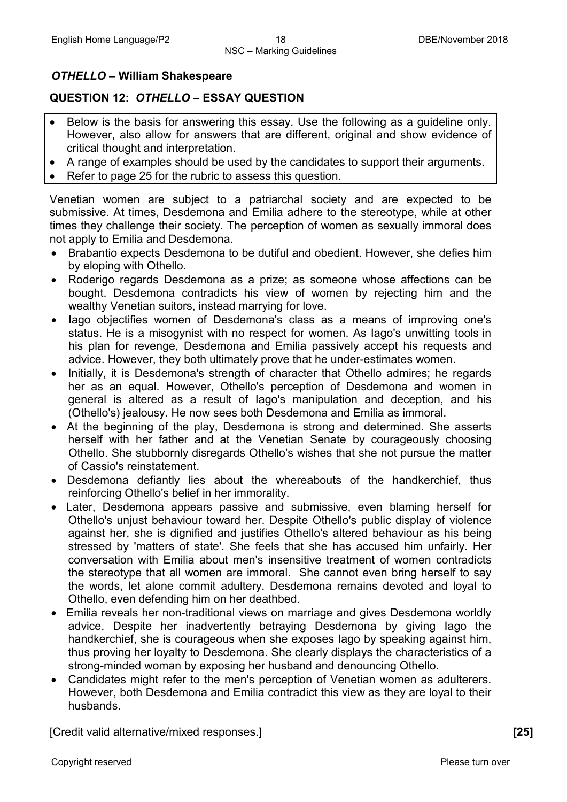#### *OTHELLO* **– William Shakespeare**

#### **QUESTION 12:** *OTHELLO* **– ESSAY QUESTION**

- Below is the basis for answering this essay. Use the following as a guideline only. However, also allow for answers that are different, original and show evidence of critical thought and interpretation.
- A range of examples should be used by the candidates to support their arguments.
- Refer to page 25 for the rubric to assess this question.

Venetian women are subject to a patriarchal society and are expected to be submissive. At times, Desdemona and Emilia adhere to the stereotype, while at other times they challenge their society. The perception of women as sexually immoral does not apply to Emilia and Desdemona.

- Brabantio expects Desdemona to be dutiful and obedient. However, she defies him by eloping with Othello.
- Roderigo regards Desdemona as a prize; as someone whose affections can be bought. Desdemona contradicts his view of women by rejecting him and the wealthy Venetian suitors, instead marrying for love.
- Iago objectifies women of Desdemona's class as a means of improving one's status. He is a misogynist with no respect for women. As Iago's unwitting tools in his plan for revenge, Desdemona and Emilia passively accept his requests and advice. However, they both ultimately prove that he under-estimates women.
- Initially, it is Desdemona's strength of character that Othello admires; he regards her as an equal. However, Othello's perception of Desdemona and women in general is altered as a result of Iago's manipulation and deception, and his (Othello's) jealousy. He now sees both Desdemona and Emilia as immoral.
- At the beginning of the play, Desdemona is strong and determined. She asserts herself with her father and at the Venetian Senate by courageously choosing Othello. She stubbornly disregards Othello's wishes that she not pursue the matter of Cassio's reinstatement.
- Desdemona defiantly lies about the whereabouts of the handkerchief, thus reinforcing Othello's belief in her immorality.
- Later, Desdemona appears passive and submissive, even blaming herself for Othello's unjust behaviour toward her. Despite Othello's public display of violence against her, she is dignified and justifies Othello's altered behaviour as his being stressed by 'matters of state'. She feels that she has accused him unfairly. Her conversation with Emilia about men's insensitive treatment of women contradicts the stereotype that all women are immoral. She cannot even bring herself to say the words, let alone commit adultery. Desdemona remains devoted and loyal to Othello, even defending him on her deathbed.
- Emilia reveals her non-traditional views on marriage and gives Desdemona worldly advice. Despite her inadvertently betraying Desdemona by giving Iago the handkerchief, she is courageous when she exposes Iago by speaking against him, thus proving her loyalty to Desdemona. She clearly displays the characteristics of a strong-minded woman by exposing her husband and denouncing Othello.
- Candidates might refer to the men's perception of Venetian women as adulterers. However, both Desdemona and Emilia contradict this view as they are loyal to their husbands.

[Credit valid alternative/mixed responses.] **[25]**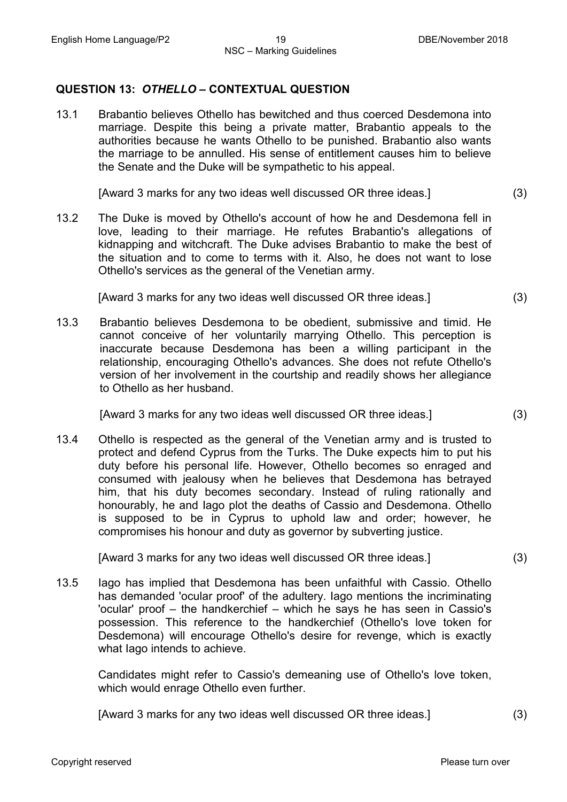#### **QUESTION 13:** *OTHELLO* **– CONTEXTUAL QUESTION**

13.1 Brabantio believes Othello has bewitched and thus coerced Desdemona into marriage. Despite this being a private matter, Brabantio appeals to the authorities because he wants Othello to be punished. Brabantio also wants the marriage to be annulled. His sense of entitlement causes him to believe the Senate and the Duke will be sympathetic to his appeal.

[Award 3 marks for any two ideas well discussed OR three ideas.] (3)

13.2 The Duke is moved by Othello's account of how he and Desdemona fell in love, leading to their marriage. He refutes Brabantio's allegations of kidnapping and witchcraft. The Duke advises Brabantio to make the best of the situation and to come to terms with it. Also, he does not want to lose Othello's services as the general of the Venetian army.

[Award 3 marks for any two ideas well discussed OR three ideas.] (3)

13.3 Brabantio believes Desdemona to be obedient, submissive and timid. He cannot conceive of her voluntarily marrying Othello. This perception is inaccurate because Desdemona has been a willing participant in the relationship, encouraging Othello's advances. She does not refute Othello's version of her involvement in the courtship and readily shows her allegiance to Othello as her husband.

[Award 3 marks for any two ideas well discussed OR three ideas.] (3)

13.4 Othello is respected as the general of the Venetian army and is trusted to protect and defend Cyprus from the Turks. The Duke expects him to put his duty before his personal life. However, Othello becomes so enraged and consumed with jealousy when he believes that Desdemona has betrayed him, that his duty becomes secondary. Instead of ruling rationally and honourably, he and Iago plot the deaths of Cassio and Desdemona. Othello is supposed to be in Cyprus to uphold law and order; however, he compromises his honour and duty as governor by subverting justice.

[Award 3 marks for any two ideas well discussed OR three ideas.] (3)

13.5 Iago has implied that Desdemona has been unfaithful with Cassio. Othello has demanded 'ocular proof' of the adultery. Iago mentions the incriminating 'ocular' proof – the handkerchief – which he says he has seen in Cassio's possession. This reference to the handkerchief (Othello's love token for Desdemona) will encourage Othello's desire for revenge, which is exactly what Iago intends to achieve.

Candidates might refer to Cassio's demeaning use of Othello's love token, which would enrage Othello even further.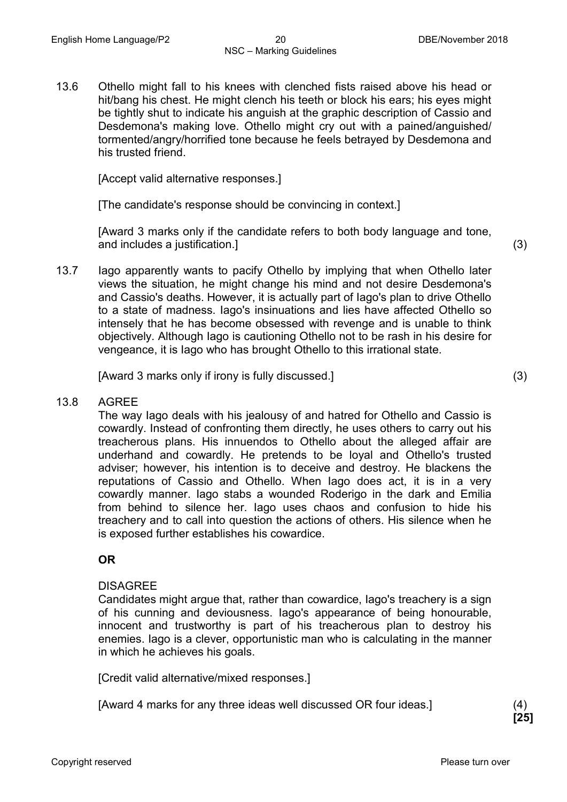13.6 Othello might fall to his knees with clenched fists raised above his head or hit/bang his chest. He might clench his teeth or block his ears; his eyes might be tightly shut to indicate his anguish at the graphic description of Cassio and Desdemona's making love. Othello might cry out with a pained/anguished/ tormented/angry/horrified tone because he feels betrayed by Desdemona and his trusted friend.

[Accept valid alternative responses.]

[The candidate's response should be convincing in context.]

[Award 3 marks only if the candidate refers to both body language and tone, and includes a justification.] (3)

13.7 Iago apparently wants to pacify Othello by implying that when Othello later views the situation, he might change his mind and not desire Desdemona's and Cassio's deaths. However, it is actually part of Iago's plan to drive Othello to a state of madness. Iago's insinuations and lies have affected Othello so intensely that he has become obsessed with revenge and is unable to think objectively. Although Iago is cautioning Othello not to be rash in his desire for vengeance, it is Iago who has brought Othello to this irrational state.

[Award 3 marks only if irony is fully discussed.] (3)

#### 13.8 AGREE

The way Iago deals with his jealousy of and hatred for Othello and Cassio is cowardly. Instead of confronting them directly, he uses others to carry out his treacherous plans. His innuendos to Othello about the alleged affair are underhand and cowardly. He pretends to be loyal and Othello's trusted adviser; however, his intention is to deceive and destroy. He blackens the reputations of Cassio and Othello. When Iago does act, it is in a very cowardly manner. Iago stabs a wounded Roderigo in the dark and Emilia from behind to silence her. Iago uses chaos and confusion to hide his treachery and to call into question the actions of others. His silence when he is exposed further establishes his cowardice.

#### **OR**

#### **DISAGREE**

Candidates might argue that, rather than cowardice, Iago's treachery is a sign of his cunning and deviousness. Iago's appearance of being honourable, innocent and trustworthy is part of his treacherous plan to destroy his enemies. Iago is a clever, opportunistic man who is calculating in the manner in which he achieves his goals.

[Credit valid alternative/mixed responses.]

[Award 4 marks for any three ideas well discussed OR four ideas.] (4)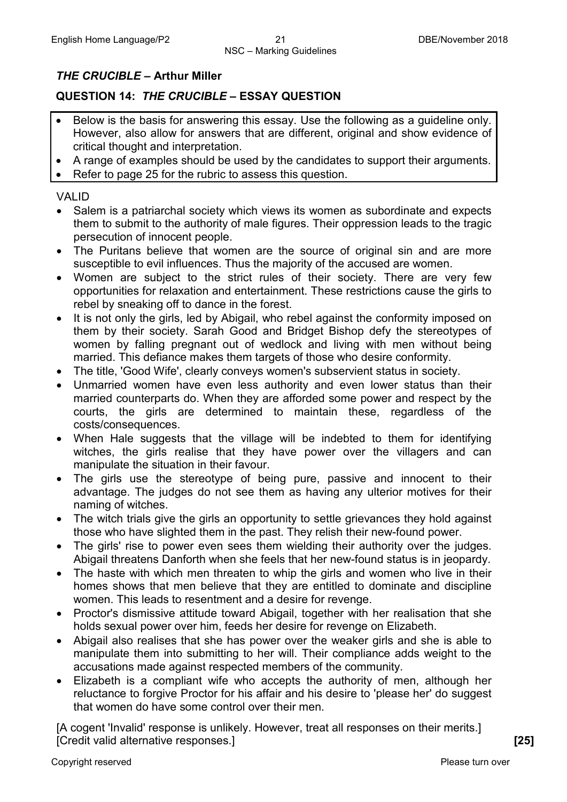#### *THE CRUCIBLE* **– Arthur Miller**

#### **QUESTION 14:** *THE CRUCIBLE* **– ESSAY QUESTION**

- Below is the basis for answering this essay. Use the following as a guideline only. However, also allow for answers that are different, original and show evidence of critical thought and interpretation.
- A range of examples should be used by the candidates to support their arguments.
- Refer to page 25 for the rubric to assess this question.

#### VALID

- Salem is a patriarchal society which views its women as subordinate and expects them to submit to the authority of male figures. Their oppression leads to the tragic persecution of innocent people.
- The Puritans believe that women are the source of original sin and are more susceptible to evil influences. Thus the majority of the accused are women.
- Women are subject to the strict rules of their society. There are very few opportunities for relaxation and entertainment. These restrictions cause the girls to rebel by sneaking off to dance in the forest.
- It is not only the girls, led by Abigail, who rebel against the conformity imposed on them by their society. Sarah Good and Bridget Bishop defy the stereotypes of women by falling pregnant out of wedlock and living with men without being married. This defiance makes them targets of those who desire conformity.
- The title, 'Good Wife', clearly conveys women's subservient status in society.
- Unmarried women have even less authority and even lower status than their married counterparts do. When they are afforded some power and respect by the courts, the girls are determined to maintain these, regardless of the costs/consequences.
- When Hale suggests that the village will be indebted to them for identifying witches, the girls realise that they have power over the villagers and can manipulate the situation in their favour.
- The girls use the stereotype of being pure, passive and innocent to their advantage. The judges do not see them as having any ulterior motives for their naming of witches.
- The witch trials give the girls an opportunity to settle grievances they hold against those who have slighted them in the past. They relish their new-found power.
- The girls' rise to power even sees them wielding their authority over the judges. Abigail threatens Danforth when she feels that her new-found status is in jeopardy.
- The haste with which men threaten to whip the girls and women who live in their homes shows that men believe that they are entitled to dominate and discipline women. This leads to resentment and a desire for revenge.
- Proctor's dismissive attitude toward Abigail, together with her realisation that she holds sexual power over him, feeds her desire for revenge on Elizabeth.
- Abigail also realises that she has power over the weaker girls and she is able to manipulate them into submitting to her will. Their compliance adds weight to the accusations made against respected members of the community.
- Elizabeth is a compliant wife who accepts the authority of men, although her reluctance to forgive Proctor for his affair and his desire to 'please her' do suggest that women do have some control over their men.

[A cogent 'Invalid' response is unlikely. However, treat all responses on their merits.] [Credit valid alternative responses.] **[25]**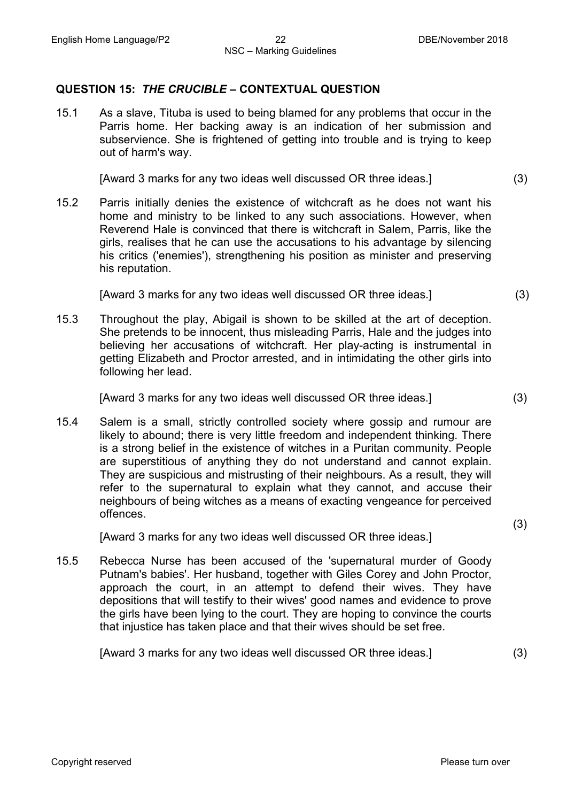#### **QUESTION 15:** *THE CRUCIBLE* **– CONTEXTUAL QUESTION**

15.1 As a slave, Tituba is used to being blamed for any problems that occur in the Parris home. Her backing away is an indication of her submission and subservience. She is frightened of getting into trouble and is trying to keep out of harm's way.

[Award 3 marks for any two ideas well discussed OR three ideas.] (3)

15.2 Parris initially denies the existence of witchcraft as he does not want his home and ministry to be linked to any such associations. However, when Reverend Hale is convinced that there is witchcraft in Salem, Parris, like the girls, realises that he can use the accusations to his advantage by silencing his critics ('enemies'), strengthening his position as minister and preserving his reputation.

[Award 3 marks for any two ideas well discussed OR three ideas.] (3)

15.3 Throughout the play, Abigail is shown to be skilled at the art of deception. She pretends to be innocent, thus misleading Parris, Hale and the judges into believing her accusations of witchcraft. Her play-acting is instrumental in getting Elizabeth and Proctor arrested, and in intimidating the other girls into following her lead.

[Award 3 marks for any two ideas well discussed OR three ideas.] (3)

15.4 Salem is a small, strictly controlled society where gossip and rumour are likely to abound; there is very little freedom and independent thinking. There is a strong belief in the existence of witches in a Puritan community. People are superstitious of anything they do not understand and cannot explain. They are suspicious and mistrusting of their neighbours. As a result, they will refer to the supernatural to explain what they cannot, and accuse their neighbours of being witches as a means of exacting vengeance for perceived offences.

[Award 3 marks for any two ideas well discussed OR three ideas.]

15.5 Rebecca Nurse has been accused of the 'supernatural murder of Goody Putnam's babies'. Her husband, together with Giles Corey and John Proctor, approach the court, in an attempt to defend their wives. They have depositions that will testify to their wives' good names and evidence to prove the girls have been lying to the court. They are hoping to convince the courts that injustice has taken place and that their wives should be set free.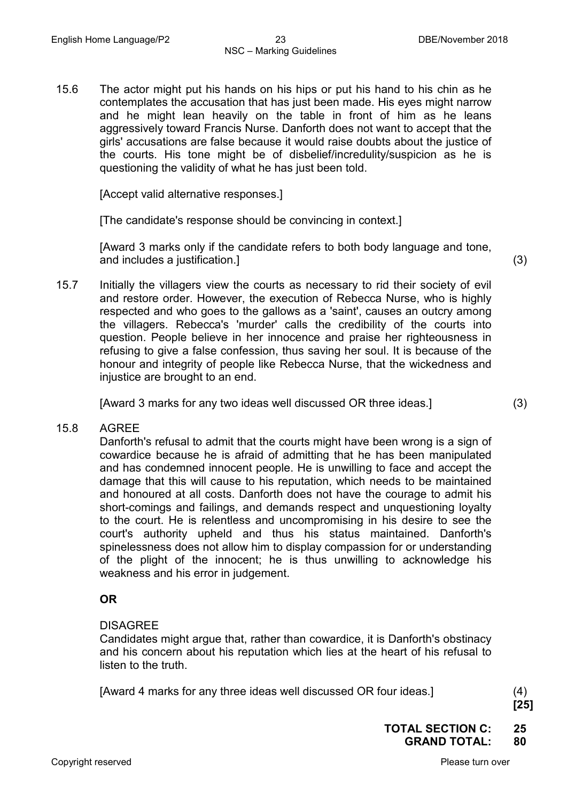15.6 The actor might put his hands on his hips or put his hand to his chin as he contemplates the accusation that has just been made. His eyes might narrow and he might lean heavily on the table in front of him as he leans aggressively toward Francis Nurse. Danforth does not want to accept that the girls' accusations are false because it would raise doubts about the justice of the courts. His tone might be of disbelief/incredulity/suspicion as he is questioning the validity of what he has just been told.

[Accept valid alternative responses.]

[The candidate's response should be convincing in context.]

[Award 3 marks only if the candidate refers to both body language and tone, and includes a justification.] (3)

15.7 Initially the villagers view the courts as necessary to rid their society of evil and restore order. However, the execution of Rebecca Nurse, who is highly respected and who goes to the gallows as a 'saint', causes an outcry among the villagers. Rebecca's 'murder' calls the credibility of the courts into question. People believe in her innocence and praise her righteousness in refusing to give a false confession, thus saving her soul. It is because of the honour and integrity of people like Rebecca Nurse, that the wickedness and injustice are brought to an end.

[Award 3 marks for any two ideas well discussed OR three ideas.] (3)

15.8 AGREE

Danforth's refusal to admit that the courts might have been wrong is a sign of cowardice because he is afraid of admitting that he has been manipulated and has condemned innocent people. He is unwilling to face and accept the damage that this will cause to his reputation, which needs to be maintained and honoured at all costs. Danforth does not have the courage to admit his short-comings and failings, and demands respect and unquestioning loyalty to the court. He is relentless and uncompromising in his desire to see the court's authority upheld and thus his status maintained. Danforth's spinelessness does not allow him to display compassion for or understanding of the plight of the innocent; he is thus unwilling to acknowledge his weakness and his error in judgement.

#### **OR**

#### DISAGREE

Candidates might argue that, rather than cowardice, it is Danforth's obstinacy and his concern about his reputation which lies at the heart of his refusal to listen to the truth.

[Award 4 marks for any three ideas well discussed OR four ideas.] (4)

**[25]**

**TOTAL SECTION C: 25 GRAND TOTAL: 80**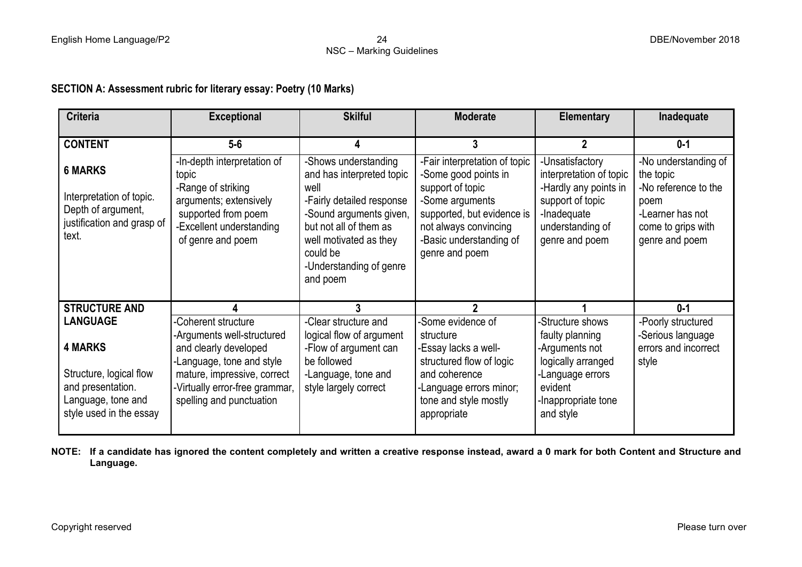## NSC – Marking Guidelines

#### **SECTION A: Assessment rubric for literary essay: Poetry (10 Marks)**

| <b>Criteria</b>                                                                                                 | <b>Exceptional</b>                                                                                                                                                            | <b>Skilful</b>                                                                                                                                                                                                           | <b>Moderate</b>                                                                                                                                                                                  | <b>Elementary</b>                                                                                                                            | Inadequate                                                                                                                    |
|-----------------------------------------------------------------------------------------------------------------|-------------------------------------------------------------------------------------------------------------------------------------------------------------------------------|--------------------------------------------------------------------------------------------------------------------------------------------------------------------------------------------------------------------------|--------------------------------------------------------------------------------------------------------------------------------------------------------------------------------------------------|----------------------------------------------------------------------------------------------------------------------------------------------|-------------------------------------------------------------------------------------------------------------------------------|
|                                                                                                                 |                                                                                                                                                                               |                                                                                                                                                                                                                          |                                                                                                                                                                                                  |                                                                                                                                              |                                                                                                                               |
| <b>CONTENT</b>                                                                                                  | $5-6$                                                                                                                                                                         |                                                                                                                                                                                                                          | 3                                                                                                                                                                                                |                                                                                                                                              | $0 - 1$                                                                                                                       |
| <b>6 MARKS</b><br>Interpretation of topic.<br>Depth of argument,<br>justification and grasp of<br>text.         | -In-depth interpretation of<br>topic<br>-Range of striking<br>arguments; extensively<br>supported from poem<br>-Excellent understanding<br>of genre and poem                  | -Shows understanding<br>and has interpreted topic<br>well<br>-Fairly detailed response<br>-Sound arguments given,<br>but not all of them as<br>well motivated as they<br>could be<br>-Understanding of genre<br>and poem | -Fair interpretation of topic<br>-Some good points in<br>support of topic<br>-Some arguments<br>supported, but evidence is<br>not always convincing<br>-Basic understanding of<br>genre and poem | -Unsatisfactory<br>interpretation of topic<br>-Hardly any points in<br>support of topic<br>-Inadequate<br>understanding of<br>genre and poem | -No understanding of<br>the topic<br>-No reference to the<br>poem<br>-Learner has not<br>come to grips with<br>genre and poem |
| <b>STRUCTURE AND</b>                                                                                            |                                                                                                                                                                               |                                                                                                                                                                                                                          |                                                                                                                                                                                                  |                                                                                                                                              | $0 - 1$                                                                                                                       |
| <b>LANGUAGE</b>                                                                                                 | -Coherent structure                                                                                                                                                           | -Clear structure and                                                                                                                                                                                                     | Some evidence of                                                                                                                                                                                 | -Structure shows                                                                                                                             | -Poorly structured                                                                                                            |
| <b>4 MARKS</b><br>Structure, logical flow<br>and presentation.<br>Language, tone and<br>style used in the essay | -Arguments well-structured<br>and clearly developed<br>-Language, tone and style<br>mature, impressive, correct<br>-Virtually error-free grammar,<br>spelling and punctuation | logical flow of argument<br>-Flow of argument can<br>be followed<br>-Language, tone and<br>style largely correct                                                                                                         | structure<br>-Essay lacks a well-<br>structured flow of logic<br>and coherence<br>-Language errors minor;<br>tone and style mostly<br>appropriate                                                | faulty planning<br>-Arguments not<br>logically arranged<br>-Language errors<br>evident<br>-Inappropriate tone<br>and style                   | -Serious language<br>errors and incorrect<br>style                                                                            |

**NOTE: If a candidate has ignored the content completely and written a creative response instead, award a 0 mark for both Content and Structure and Language.**